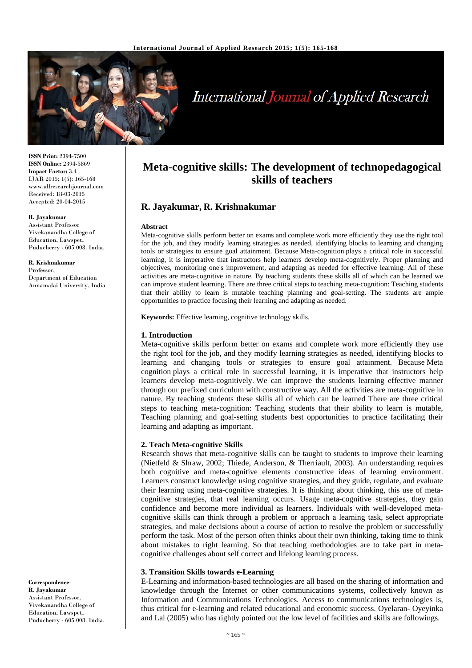

# International Journal of Applied Research

**ISSN Print:** 2394-7500 **ISSN Online:** 2394-5869 **Impact Factor:** 3.4 IJAR 2015; 1(5): 165-168 www.allresearchjournal.com Received: 18-03-2015 Accepted: 20-04-2015

#### **R. Jayakumar**

Assistant Professor Vivekanandha College of Education, Lawspet, Puducherry - 605 008. India.

**R. Krishnakumar**  Professor, Department of Education Annamalai University, India

**Correspondence**: **R. Jayakumar**  Assistant Professor, Vivekanandha College of Education, Lawspet, Puducherry - 605 008. India.

# **Meta-cognitive skills: The development of technopedagogical skills of teachers**

# **R. Jayakumar, R. Krishnakumar**

#### **Abstract**

Meta-cognitive skills perform better on exams and complete work more efficiently they use the right tool for the job, and they modify learning strategies as needed, identifying blocks to learning and changing tools or strategies to ensure goal attainment. Because Meta-cognition plays a critical role in successful learning, it is imperative that instructors help learners develop meta-cognitively. Proper planning and objectives, monitoring one's improvement, and adapting as needed for effective learning. All of these activities are meta-cognitive in nature. By teaching students these skills all of which can be learned we can improve student learning. There are three critical steps to teaching meta-cognition: Teaching students that their ability to learn is mutable teaching planning and goal-setting. The students are ample opportunities to practice focusing their learning and adapting as needed.

**Keywords:** Effective learning, cognitive technology skills.

#### **1. Introduction**

Meta-cognitive skills perform better on exams and complete work more efficiently they use the right tool for the job, and they modify learning strategies as needed, identifying blocks to learning and changing tools or strategies to ensure goal attainment. Because Meta cognition plays a critical role in successful learning, it is imperative that instructors help learners develop meta-cognitively. We can improve the students learning effective manner through our prefixed curriculum with constructive way. All the activities are meta-cognitive in nature. By teaching students these skills all of which can be learned There are three critical steps to teaching meta-cognition: Teaching students that their ability to learn is mutable, Teaching planning and goal-setting students best opportunities to practice facilitating their learning and adapting as important.

#### **2. Teach Meta-cognitive Skills**

Research shows that meta-cognitive skills can be taught to students to improve their learning (Nietfeld & Shraw, 2002; Thiede, Anderson, & Therriault, 2003). An understanding requires both cognitive and meta-cognitive elements constructive ideas of learning environment. Learners construct knowledge using cognitive strategies, and they guide, regulate, and evaluate their learning using meta-cognitive strategies. It is thinking about thinking, this use of metacognitive strategies, that real learning occurs. Usage meta-cognitive strategies, they gain confidence and become more individual as learners. Individuals with well-developed metacognitive skills can think through a problem or approach a learning task, select appropriate strategies, and make decisions about a course of action to resolve the problem or successfully perform the task. Most of the person often thinks about their own thinking, taking time to think about mistakes to right learning. So that teaching methodologies are to take part in metacognitive challenges about self correct and lifelong learning process.

#### **3. Transition Skills towards e-Learning**

E-Learning and information-based technologies are all based on the sharing of information and knowledge through the Internet or other communications systems, collectively known as Information and Communications Technologies. Access to communications technologies is, thus critical for e-learning and related educational and economic success. Oyelaran- Oyeyinka and Lal (2005) who has rightly pointed out the low level of facilities and skills are followings.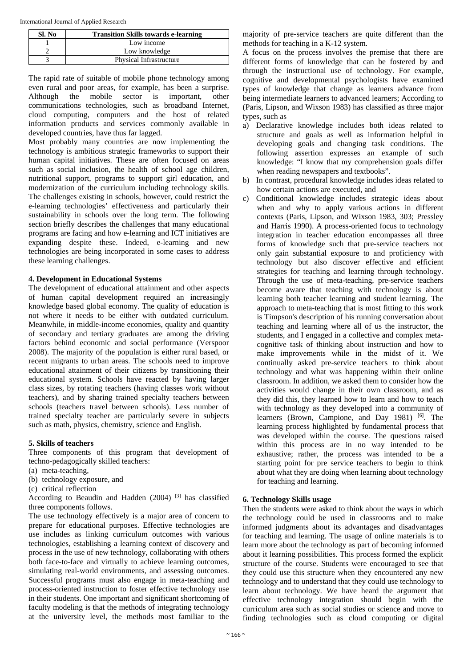International Journal of Applied Research

| SI. No | <b>Transition Skills towards e-learning</b> |
|--------|---------------------------------------------|
|        | Low income                                  |
|        | Low knowledge                               |
|        | Physical Infrastructure                     |

The rapid rate of suitable of mobile phone technology among even rural and poor areas, for example, has been a surprise. Although the mobile sector is important, other communications technologies, such as broadband Internet, cloud computing, computers and the host of related information products and services commonly available in developed countries, have thus far lagged.

Most probably many countries are now implementing the technology is ambitious strategic frameworks to support their human capital initiatives. These are often focused on areas such as social inclusion, the health of school age children, nutritional support, programs to support girl education, and modernization of the curriculum including technology skills. The challenges existing in schools, however, could restrict the e-learning technologies' effectiveness and particularly their sustainability in schools over the long term. The following section briefly describes the challenges that many educational programs are facing and how e-learning and ICT initiatives are expanding despite these. Indeed, e-learning and new technologies are being incorporated in some cases to address these learning challenges.

#### **4. Development in Educational Systems**

The development of educational attainment and other aspects of human capital development required an increasingly knowledge based global economy. The quality of education is not where it needs to be either with outdated curriculum. Meanwhile, in middle-income economies, quality and quantity of secondary and tertiary graduates are among the driving factors behind economic and social performance (Verspoor 2008). The majority of the population is either rural based, or recent migrants to urban areas. The schools need to improve educational attainment of their citizens by transitioning their educational system. Schools have reacted by having larger class sizes, by rotating teachers (having classes work without teachers), and by sharing trained specialty teachers between schools (teachers travel between schools). Less number of trained specialty teacher are particularly severe in subjects such as math, physics, chemistry, science and English.

# **5. Skills of teachers**

Three components of this program that development of techno-pedagogically skilled teachers:

- (a) meta-teaching,
- (b) technology exposure, and
- (c) critical reflection

According to Beaudin and Hadden  $(2004)$  <sup>[3]</sup> has classified three components follows.

The use technology effectively is a major area of concern to prepare for educational purposes. Effective technologies are use includes as linking curriculum outcomes with various technologies, establishing a learning context of discovery and process in the use of new technology, collaborating with others both face-to-face and virtually to achieve learning outcomes, simulating real-world environments, and assessing outcomes. Successful programs must also engage in meta-teaching and process-oriented instruction to foster effective technology use in their students. One important and significant shortcoming of faculty modeling is that the methods of integrating technology at the university level, the methods most familiar to the

majority of pre-service teachers are quite different than the methods for teaching in a K-12 system.

A focus on the process involves the premise that there are different forms of knowledge that can be fostered by and through the instructional use of technology. For example, cognitive and developmental psychologists have examined types of knowledge that change as learners advance from being intermediate learners to advanced learners; According to (Paris, Lipson, and Wixson 1983) has classified as three major types, such as

- a) Declarative knowledge includes both ideas related to structure and goals as well as information helpful in developing goals and changing task conditions. The following assertion expresses an example of such knowledge: "I know that my comprehension goals differ when reading newspapers and textbooks".
- b) In contrast, procedural knowledge includes ideas related to how certain actions are executed, and
- c) Conditional knowledge includes strategic ideas about when and why to apply various actions in different contexts (Paris, Lipson, and Wixson 1983, 303; Pressley and Harris 1990). A process-oriented focus to technology integration in teacher education encompasses all three forms of knowledge such that pre-service teachers not only gain substantial exposure to and proficiency with technology but also discover effective and efficient strategies for teaching and learning through technology. Through the use of meta-teaching, pre-service teachers become aware that teaching with technology is about learning both teacher learning and student learning. The approach to meta-teaching that is most fitting to this work is Timpson's description of his running conversation about teaching and learning where all of us the instructor, the students, and I engaged in a collective and complex metacognitive task of thinking about instruction and how to make improvements while in the midst of it. We continually asked pre-service teachers to think about technology and what was happening within their online classroom. In addition, we asked them to consider how the activities would change in their own classroom, and as they did this, they learned how to learn and how to teach with technology as they developed into a community of learners (Brown, Campione, and Day 1981) <sup>[6]</sup>. The learning process highlighted by fundamental process that was developed within the course. The questions raised within this process are in no way intended to be exhaustive; rather, the process was intended to be a starting point for pre service teachers to begin to think about what they are doing when learning about technology for teaching and learning.

# **6. Technology Skills usage**

Then the students were asked to think about the ways in which the technology could be used in classrooms and to make informed judgments about its advantages and disadvantages for teaching and learning. The usage of online materials is to learn more about the technology as part of becoming informed about it learning possibilities. This process formed the explicit structure of the course. Students were encouraged to see that they could use this structure when they encountered any new technology and to understand that they could use technology to learn about technology. We have heard the argument that effective technology integration should begin with the curriculum area such as social studies or science and move to finding technologies such as cloud computing or digital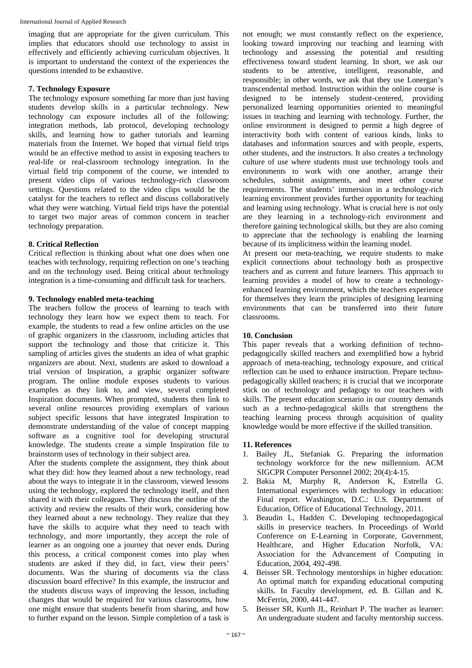imaging that are appropriate for the given curriculum. This implies that educators should use technology to assist in effectively and efficiently achieving curriculum objectives. It is important to understand the context of the experiences the questions intended to be exhaustive.

#### **7. Technology Exposure**

The technology exposure something far more than just having students develop skills in a particular technology. New technology can exposure includes all of the following: integration methods, lab protocol, developing technology skills, and learning how to gather tutorials and learning materials from the Internet. We hoped that virtual field trips would be an effective method to assist in exposing teachers to real-life or real-classroom technology integration. In the virtual field trip component of the course, we intended to present video clips of various technology-rich classroom settings. Questions related to the video clips would be the catalyst for the teachers to reflect and discuss collaboratively what they were watching. Virtual field trips have the potential to target two major areas of common concern in teacher technology preparation.

## **8. Critical Reflection**

Critical reflection is thinking about what one does when one teaches with technology, requiring reflection on one's teaching and on the technology used. Being critical about technology integration is a time-consuming and difficult task for teachers.

#### **9. Technology enabled meta-teaching**

The teachers follow the process of learning to teach with technology they learn how we expect them to teach. For example, the students to read a few online articles on the use of graphic organizers in the classroom, including articles that support the technology and those that criticize it. This sampling of articles gives the students an idea of what graphic organizers are about. Next, students are asked to download a trial version of Inspiration, a graphic organizer software program. The online module exposes students to various examples as they link to, and view, several completed Inspiration documents. When prompted, students then link to several online resources providing exemplars of various subject specific lessons that have integrated Inspiration to demonstrate understanding of the value of concept mapping software as a cognitive tool for developing structural knowledge. The students create a simple Inspiration file to brainstorm uses of technology in their subject area.

After the students complete the assignment, they think about what they did: how they learned about a new technology, read about the ways to integrate it in the classroom, viewed lessons using the technology, explored the technology itself, and then shared it with their colleagues. They discuss the outline of the activity and review the results of their work, considering how they learned about a new technology. They realize that they have the skills to acquire what they need to teach with technology, and more importantly, they accept the role of learner as an ongoing one a journey that never ends. During this process, a critical component comes into play when students are asked if they did, in fact, view their peers' documents. Was the sharing of documents via the class discussion board effective? In this example, the instructor and the students discuss ways of improving the lesson, including changes that would be required for various classrooms, how one might ensure that students benefit from sharing, and how to further expand on the lesson. Simple completion of a task is

not enough; we must constantly reflect on the experience, looking toward improving our teaching and learning with technology and assessing the potential and resulting effectiveness toward student learning. In short, we ask our students to be attentive, intelligent, reasonable, and responsible; in other words, we ask that they use Lonergan's transcendental method. Instruction within the online course is designed to be intensely student-centered, providing personalized learning opportunities oriented to meaningful issues in teaching and learning with technology. Further, the online environment is designed to permit a high degree of interactivity both with content of various kinds, links to databases and information sources and with people, experts, other students, and the instructors. It also creates a technology culture of use where students must use technology tools and environments to work with one another, arrange their schedules, submit assignments, and meet other course requirements. The students' immersion in a technology-rich learning environment provides further opportunity for teaching and learning using technology. What is crucial here is not only are they learning in a technology-rich environment and therefore gaining technological skills, but they are also coming to appreciate that the technology is enabling the learning because of its implicitness within the learning model.

At present our meta-teaching, we require students to make explicit connections about technology both as prospective teachers and as current and future learners. This approach to learning provides a model of how to create a technologyenhanced learning environment, which the teachers experience for themselves they learn the principles of designing learning environments that can be transferred into their future classrooms.

### **10. Conclusion**

This paper reveals that a working definition of technopedagogically skilled teachers and exemplified how a hybrid approach of meta-teaching, technology exposure, and critical reflection can be used to enhance instruction. Prepare technopedagogically skilled teachers; it is crucial that we incorporate stick on of technology and pedagogy to our teachers with skills. The present education scenario in our country demands such as a techno-pedagogical skills that strengthens the teaching learning process through acquisition of quality knowledge would be more effective if the skilled transition.

#### **11. References**

- 1. Bailey JL, Stefaniak G. Preparing the information technology workforce for the new millennium. ACM SIGCPR Computer Personnel 2002; 20(4):4-15.
- 2. Bakia M, Murphy R, Anderson K, Estrella G. International experiences with technology in education: Final report. Washington, D.C.: U.S. Department of Education, Office of Educational Technology, 2011.
- 3. Beaudin L, Hadden C. Developing technopedagogical skills in preservice teachers. In Proceedings of World Conference on E-Learning in Corporate, Government, Healthcare, and Higher Education Norfolk, VA: Association for the Advancement of Computing in Education, 2004, 492-498.
- 4. Beisser SR. Technology mentorships in higher education: An optimal match for expanding educational computing skills. In Faculty development, ed. B. Gillan and K. McFerrin, 2000, 441-447.
- 5. Beisser SR, Kurth JL, Reinhart P. The teacher as learner: An undergraduate student and faculty mentorship success.